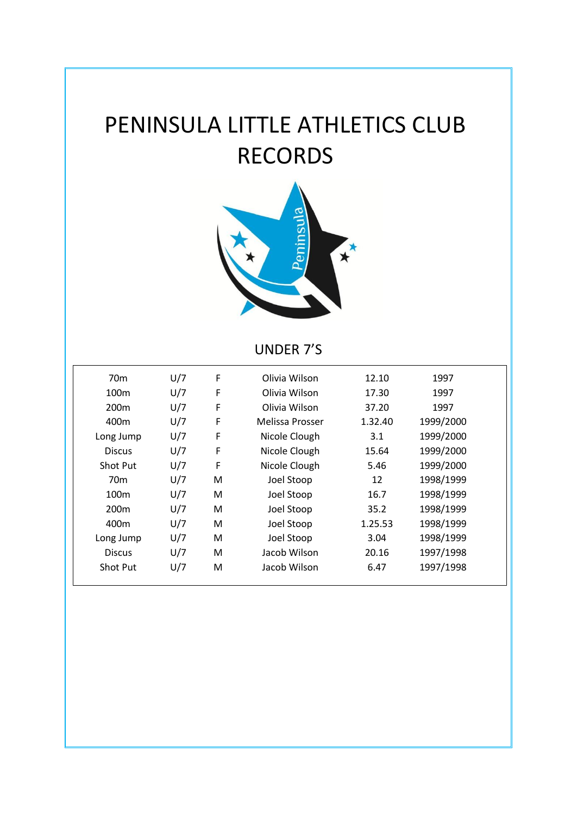# PENINSULA LITTLE ATHLETICS CLUB RECORDS



# UNDER 7'S

| 70 <sub>m</sub>  | U/7 | F | Olivia Wilson   | 12.10   | 1997      |  |
|------------------|-----|---|-----------------|---------|-----------|--|
|                  |     |   |                 |         |           |  |
| 100 <sub>m</sub> | U/7 | F | Olivia Wilson   | 17.30   | 1997      |  |
| 200 <sub>m</sub> | U/7 | F | Olivia Wilson   | 37.20   | 1997      |  |
| 400m             | U/7 | F | Melissa Prosser | 1.32.40 | 1999/2000 |  |
| Long Jump        | U/7 | F | Nicole Clough   | 3.1     | 1999/2000 |  |
| <b>Discus</b>    | U/7 | F | Nicole Clough   | 15.64   | 1999/2000 |  |
| Shot Put         | U/7 | F | Nicole Clough   | 5.46    | 1999/2000 |  |
| 70 <sub>m</sub>  | U/7 | M | Joel Stoop      | 12      | 1998/1999 |  |
| 100 <sub>m</sub> | U/7 | M | Joel Stoop      | 16.7    | 1998/1999 |  |
| 200 <sub>m</sub> | U/7 | M | Joel Stoop      | 35.2    | 1998/1999 |  |
| 400m             | U/7 | м | Joel Stoop      | 1.25.53 | 1998/1999 |  |
| Long Jump        | U/7 | M | Joel Stoop      | 3.04    | 1998/1999 |  |
| <b>Discus</b>    | U/7 | M | Jacob Wilson    | 20.16   | 1997/1998 |  |
| Shot Put         | U/7 | M | Jacob Wilson    | 6.47    | 1997/1998 |  |
|                  |     |   |                 |         |           |  |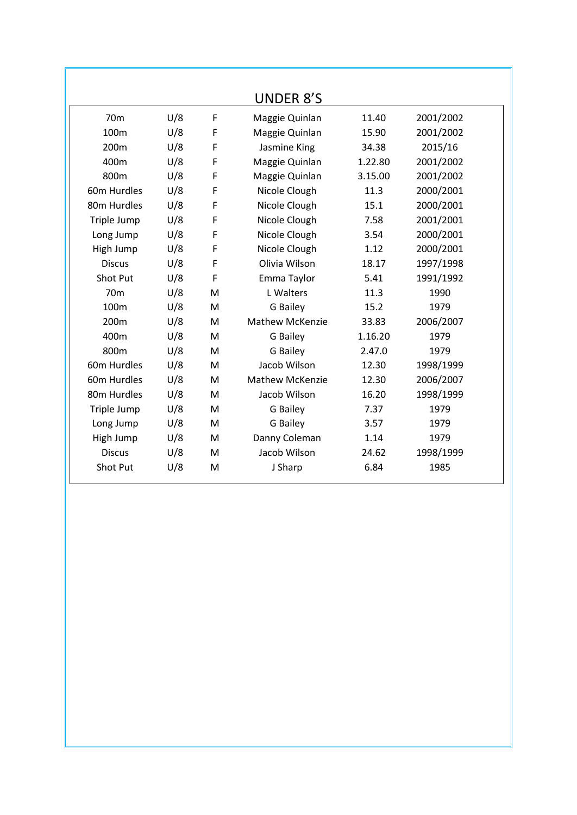|                         |     |   | <b>UNDER 8'S</b>       |         |           |
|-------------------------|-----|---|------------------------|---------|-----------|
| 70 <sub>m</sub>         | U/8 | F | Maggie Quinlan         | 11.40   | 2001/2002 |
| 100m                    | U/8 | F | Maggie Quinlan         | 15.90   | 2001/2002 |
| 200m                    | U/8 | F | Jasmine King           | 34.38   | 2015/16   |
| 400m                    | U/8 | F | Maggie Quinlan         | 1.22.80 | 2001/2002 |
| 800m                    | U/8 | F | Maggie Quinlan         | 3.15.00 | 2001/2002 |
| 60m Hurdles             | U/8 | F | Nicole Clough          | 11.3    | 2000/2001 |
| 80m Hurdles             | U/8 | F | Nicole Clough          | 15.1    | 2000/2001 |
| Triple Jump             | U/8 | F | Nicole Clough          | 7.58    | 2001/2001 |
| Long Jump               | U/8 | F | Nicole Clough          | 3.54    | 2000/2001 |
| High Jump               | U/8 | F | Nicole Clough          | 1.12    | 2000/2001 |
| <b>Discus</b>           | U/8 | F | Olivia Wilson          | 18.17   | 1997/1998 |
| Shot Put                | U/8 | F | Emma Taylor            | 5.41    | 1991/1992 |
| 70 <sub>m</sub>         | U/8 | M | L Walters              | 11.3    | 1990      |
| 100m                    | U/8 | M | G Bailey               | 15.2    | 1979      |
| 200 <sub>m</sub>        | U/8 | M | <b>Mathew McKenzie</b> | 33.83   | 2006/2007 |
| 400m                    | U/8 | M | G Bailey               | 1.16.20 | 1979      |
| 800m                    | U/8 | M | G Bailey               | 2.47.0  | 1979      |
| 60m Hurdles             | U/8 | M | Jacob Wilson           | 12.30   | 1998/1999 |
| 60m Hurdles             | U/8 | M | <b>Mathew McKenzie</b> | 12.30   | 2006/2007 |
| 80 <sub>m</sub> Hurdles | U/8 | M | Jacob Wilson           | 16.20   | 1998/1999 |
| Triple Jump             | U/8 | M | G Bailey               | 7.37    | 1979      |
| Long Jump               | U/8 | M | G Bailey               | 3.57    | 1979      |
| High Jump               | U/8 | M | Danny Coleman          | 1.14    | 1979      |
| <b>Discus</b>           | U/8 | М | Jacob Wilson           | 24.62   | 1998/1999 |
| Shot Put                | U/8 | M | J Sharp                | 6.84    | 1985      |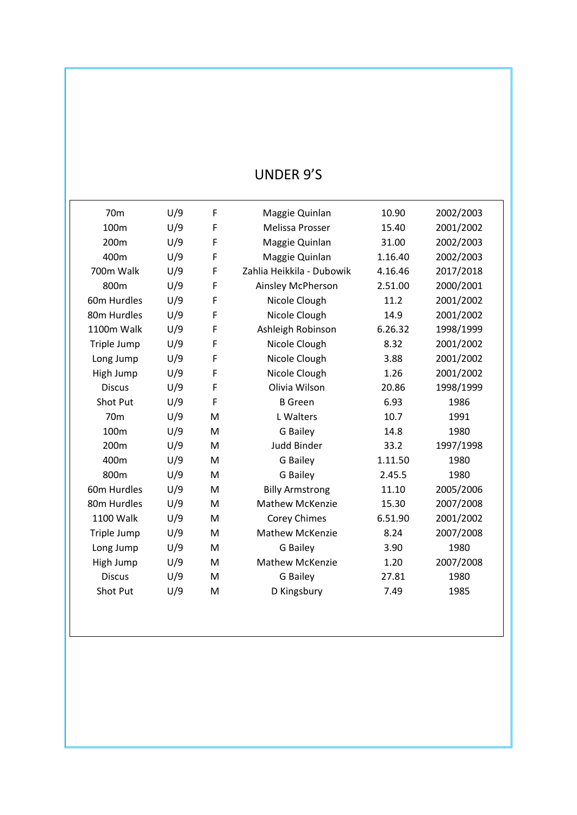# UNDER 9'S

| 70 <sub>m</sub>  | U/9 | F | Maggie Quinlan            | 10.90   | 2002/2003 |
|------------------|-----|---|---------------------------|---------|-----------|
| 100 <sub>m</sub> | U/9 | F | Melissa Prosser           | 15.40   | 2001/2002 |
| 200m             | U/9 | F | Maggie Quinlan            | 31.00   | 2002/2003 |
| 400m             | U/9 | F | Maggie Quinlan            | 1.16.40 | 2002/2003 |
| 700m Walk        | U/9 | F | Zahlia Heikkila - Dubowik | 4.16.46 | 2017/2018 |
| 800m             | U/9 | F | Ainsley McPherson         | 2.51.00 | 2000/2001 |
| 60m Hurdles      | U/9 | F | Nicole Clough             | 11.2    | 2001/2002 |
| 80m Hurdles      | U/9 | F | Nicole Clough             | 14.9    | 2001/2002 |
| 1100m Walk       | U/9 | F | Ashleigh Robinson         | 6.26.32 | 1998/1999 |
| Triple Jump      | U/9 | F | Nicole Clough             | 8.32    | 2001/2002 |
| Long Jump        | U/9 | F | Nicole Clough             | 3.88    | 2001/2002 |
| High Jump        | U/9 | F | Nicole Clough             | 1.26    | 2001/2002 |
| <b>Discus</b>    | U/9 | F | Olivia Wilson             | 20.86   | 1998/1999 |
| Shot Put         | U/9 | F | <b>B</b> Green            | 6.93    | 1986      |
| 70 <sub>m</sub>  | U/9 | M | L Walters                 | 10.7    | 1991      |
| 100m             | U/9 | M | G Bailey                  | 14.8    | 1980      |
| 200 <sub>m</sub> | U/9 | M | <b>Judd Binder</b>        | 33.2    | 1997/1998 |
| 400m             | U/9 | M | G Bailey                  | 1.11.50 | 1980      |
| 800m             | U/9 | M | G Bailey                  | 2.45.5  | 1980      |
| 60m Hurdles      | U/9 | M | <b>Billy Armstrong</b>    | 11.10   | 2005/2006 |
| 80m Hurdles      | U/9 | M | <b>Mathew McKenzie</b>    | 15.30   | 2007/2008 |
| 1100 Walk        | U/9 | M | <b>Corey Chimes</b>       | 6.51.90 | 2001/2002 |
| Triple Jump      | U/9 | M | <b>Mathew McKenzie</b>    | 8.24    | 2007/2008 |
| Long Jump        | U/9 | M | <b>G</b> Bailey           | 3.90    | 1980      |
| High Jump        | U/9 | M | <b>Mathew McKenzie</b>    | 1.20    | 2007/2008 |
| <b>Discus</b>    | U/9 | M | <b>G</b> Bailey           | 27.81   | 1980      |
| Shot Put         | U/9 | M | D Kingsbury               | 7.49    | 1985      |
|                  |     |   |                           |         |           |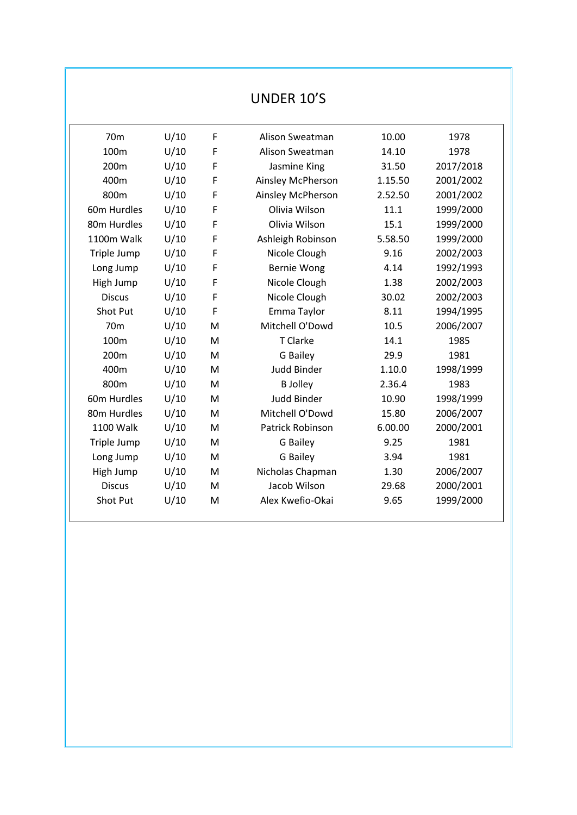# UNDER 10'S

| 70 <sub>m</sub> | U/10 | F | Alison Sweatman    | 10.00   | 1978      |  |
|-----------------|------|---|--------------------|---------|-----------|--|
| 100m            | U/10 | F | Alison Sweatman    | 14.10   | 1978      |  |
| 200m            | U/10 | F | Jasmine King       | 31.50   | 2017/2018 |  |
| 400m            | U/10 | F | Ainsley McPherson  | 1.15.50 | 2001/2002 |  |
| 800m            | U/10 | F | Ainsley McPherson  | 2.52.50 | 2001/2002 |  |
| 60m Hurdles     | U/10 | F | Olivia Wilson      | 11.1    | 1999/2000 |  |
| 80m Hurdles     | U/10 | F | Olivia Wilson      | 15.1    | 1999/2000 |  |
| 1100m Walk      | U/10 | F | Ashleigh Robinson  | 5.58.50 | 1999/2000 |  |
| Triple Jump     | U/10 | F | Nicole Clough      | 9.16    | 2002/2003 |  |
| Long Jump       | U/10 | F | Bernie Wong        | 4.14    | 1992/1993 |  |
| High Jump       | U/10 | F | Nicole Clough      | 1.38    | 2002/2003 |  |
| <b>Discus</b>   | U/10 | F | Nicole Clough      | 30.02   | 2002/2003 |  |
| Shot Put        | U/10 | F | Emma Taylor        | 8.11    | 1994/1995 |  |
| 70 <sub>m</sub> | U/10 | M | Mitchell O'Dowd    | 10.5    | 2006/2007 |  |
| 100m            | U/10 | M | T Clarke           | 14.1    | 1985      |  |
| 200m            | U/10 | M | G Bailey           | 29.9    | 1981      |  |
| 400m            | U/10 | M | <b>Judd Binder</b> | 1.10.0  | 1998/1999 |  |
| 800m            | U/10 | M | <b>B</b> Jolley    | 2.36.4  | 1983      |  |
| 60m Hurdles     | U/10 | M | <b>Judd Binder</b> | 10.90   | 1998/1999 |  |
| 80m Hurdles     | U/10 | M | Mitchell O'Dowd    | 15.80   | 2006/2007 |  |
| 1100 Walk       | U/10 | M | Patrick Robinson   | 6.00.00 | 2000/2001 |  |
| Triple Jump     | U/10 | M | G Bailey           | 9.25    | 1981      |  |
| Long Jump       | U/10 | M | G Bailey           | 3.94    | 1981      |  |
| High Jump       | U/10 | M | Nicholas Chapman   | 1.30    | 2006/2007 |  |
| <b>Discus</b>   | U/10 | M | Jacob Wilson       | 29.68   | 2000/2001 |  |
| Shot Put        | U/10 | M | Alex Kwefio-Okai   | 9.65    | 1999/2000 |  |
|                 |      |   |                    |         |           |  |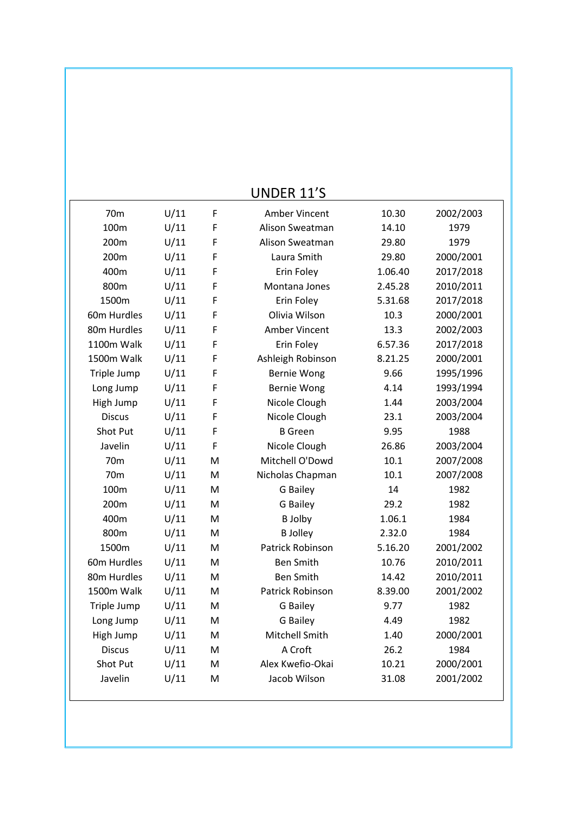|                 |      |   | <b>OIANEU TT 3</b> |         |           |
|-----------------|------|---|--------------------|---------|-----------|
| 70 <sub>m</sub> | U/11 | F | Amber Vincent      | 10.30   | 2002/2003 |
| 100m            | U/11 | F | Alison Sweatman    | 14.10   | 1979      |
| 200m            | U/11 | F | Alison Sweatman    | 29.80   | 1979      |
| 200m            | U/11 | F | Laura Smith        | 29.80   | 2000/2001 |
| 400m            | U/11 | F | Erin Foley         | 1.06.40 | 2017/2018 |
| 800m            | U/11 | F | Montana Jones      | 2.45.28 | 2010/2011 |
| 1500m           | U/11 | F | Erin Foley         | 5.31.68 | 2017/2018 |
| 60m Hurdles     | U/11 | F | Olivia Wilson      | 10.3    | 2000/2001 |
| 80m Hurdles     | U/11 | F | Amber Vincent      | 13.3    | 2002/2003 |
| 1100m Walk      | U/11 | F | Erin Foley         | 6.57.36 | 2017/2018 |
| 1500m Walk      | U/11 | F | Ashleigh Robinson  | 8.21.25 | 2000/2001 |
| Triple Jump     | U/11 | F | <b>Bernie Wong</b> | 9.66    | 1995/1996 |
| Long Jump       | U/11 | F | <b>Bernie Wong</b> | 4.14    | 1993/1994 |
| High Jump       | U/11 | F | Nicole Clough      | 1.44    | 2003/2004 |
| <b>Discus</b>   | U/11 | F | Nicole Clough      | 23.1    | 2003/2004 |
| Shot Put        | U/11 | F | <b>B</b> Green     | 9.95    | 1988      |
| Javelin         | U/11 | F | Nicole Clough      | 26.86   | 2003/2004 |
| 70 <sub>m</sub> | U/11 | M | Mitchell O'Dowd    | 10.1    | 2007/2008 |
| 70 <sub>m</sub> | U/11 | M | Nicholas Chapman   | 10.1    | 2007/2008 |
| 100m            | U/11 | M | G Bailey           | 14      | 1982      |
| 200m            | U/11 | M | G Bailey           | 29.2    | 1982      |
| 400m            | U/11 | M | <b>B</b> Jolby     | 1.06.1  | 1984      |
| 800m            | U/11 | M | <b>B</b> Jolley    | 2.32.0  | 1984      |
| 1500m           | U/11 | M | Patrick Robinson   | 5.16.20 | 2001/2002 |
| 60m Hurdles     | U/11 | M | <b>Ben Smith</b>   | 10.76   | 2010/2011 |
| 80m Hurdles     | U/11 | M | <b>Ben Smith</b>   | 14.42   | 2010/2011 |
| 1500m Walk      | U/11 | M | Patrick Robinson   | 8.39.00 | 2001/2002 |
| Triple Jump     | U/11 | M | G Bailey           | 9.77    | 1982      |
| Long Jump       | U/11 | M | G Bailey           | 4.49    | 1982      |
| High Jump       | U/11 | м | Mitchell Smith     | 1.40    | 2000/2001 |
| <b>Discus</b>   | U/11 | M | A Croft            | 26.2    | 1984      |
| <b>Shot Put</b> | U/11 | M | Alex Kwefio-Okai   | 10.21   | 2000/2001 |
| Javelin         | U/11 | M | Jacob Wilson       | 31.08   | 2001/2002 |
|                 |      |   |                    |         |           |

## UNDER 11'S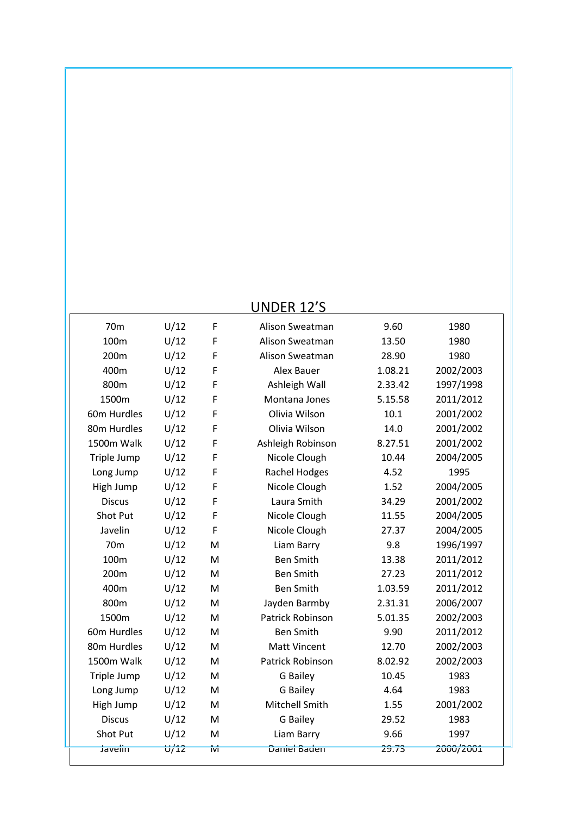# UNDER 12'S

| 70 <sub>m</sub>    | U/12              | F   | Alison Sweatman         | 9.60    | 1980      |
|--------------------|-------------------|-----|-------------------------|---------|-----------|
| 100m               | U/12              | F   | Alison Sweatman         | 13.50   | 1980      |
| 200m               | U/12              | F   | Alison Sweatman         | 28.90   | 1980      |
| 400m               | U/12              | F   | Alex Bauer              | 1.08.21 | 2002/2003 |
| 800m               | U/12              | F   | Ashleigh Wall           | 2.33.42 | 1997/1998 |
| 1500m              | U/12              | F   | Montana Jones           | 5.15.58 | 2011/2012 |
| 60m Hurdles        | U/12              | F   | Olivia Wilson           | 10.1    | 2001/2002 |
| 80m Hurdles        | U/12              | F   | Olivia Wilson           | 14.0    | 2001/2002 |
| 1500m Walk         | U/12              | F   | Ashleigh Robinson       | 8.27.51 | 2001/2002 |
| Triple Jump        | U/12              | F   | Nicole Clough           | 10.44   | 2004/2005 |
| Long Jump          | U/12              | F   | <b>Rachel Hodges</b>    | 4.52    | 1995      |
| High Jump          | U/12              | F   | Nicole Clough           | 1.52    | 2004/2005 |
| <b>Discus</b>      | U/12              | F   | Laura Smith             | 34.29   | 2001/2002 |
| Shot Put           | U/12              | F   | Nicole Clough           | 11.55   | 2004/2005 |
| Javelin            | U/12              | F   | Nicole Clough           | 27.37   | 2004/2005 |
| 70 <sub>m</sub>    | U/12              | M   | Liam Barry              | 9.8     | 1996/1997 |
| 100m               | U/12              | M   | <b>Ben Smith</b>        | 13.38   | 2011/2012 |
| 200m               | U/12              | M   | <b>Ben Smith</b>        | 27.23   | 2011/2012 |
| 400m               | U/12              | M   | <b>Ben Smith</b>        | 1.03.59 | 2011/2012 |
| 800m               | U/12              | M   | Jayden Barmby           | 2.31.31 | 2006/2007 |
| 1500m              | U/12              | M   | <b>Patrick Robinson</b> | 5.01.35 | 2002/2003 |
| 60m Hurdles        | U/12              | M   | <b>Ben Smith</b>        | 9.90    | 2011/2012 |
| 80m Hurdles        | U/12              | M   | <b>Matt Vincent</b>     | 12.70   | 2002/2003 |
| 1500m Walk         | U/12              | M   | Patrick Robinson        | 8.02.92 | 2002/2003 |
| Triple Jump        | U/12              | M   | G Bailey                | 10.45   | 1983      |
| Long Jump          | U/12              | M   | <b>G</b> Bailey         | 4.64    | 1983      |
| High Jump          | U/12              | M   | Mitchell Smith          | 1.55    | 2001/2002 |
| <b>Discus</b>      | U/12              | M   | <b>G</b> Bailey         | 29.52   | 1983      |
| Shot Put           | U/12              | M   | Liam Barry              | 9.66    | 1997      |
| <del>Javelin</del> | <del>לו'וטֿ</del> | īνī | <del>Daniel Baden</del> | 29.73   | 2000/2001 |
|                    |                   |     |                         |         |           |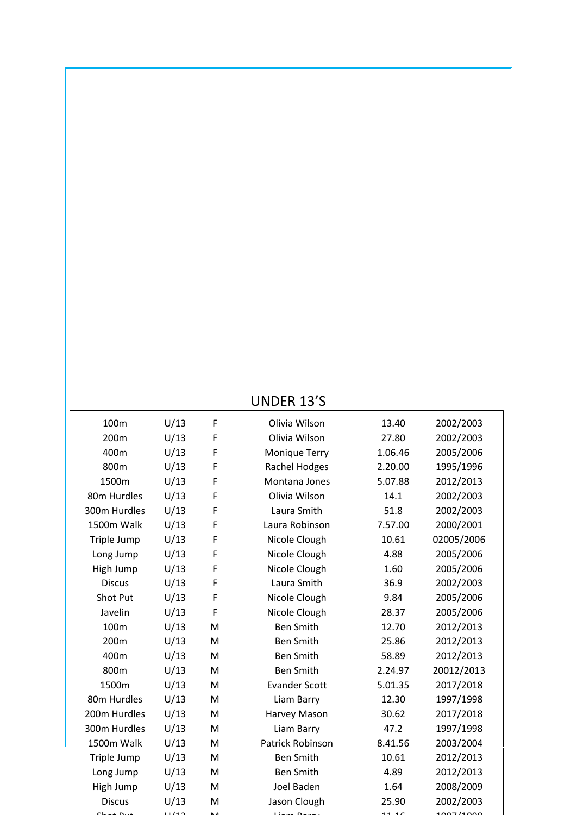| <b>UNDER 13'S</b> |
|-------------------|
|-------------------|

| 100m          | U/13 | F | Olivia Wilson           | 13.40   | 2002/2003  |  |
|---------------|------|---|-------------------------|---------|------------|--|
| 200m          | U/13 | F | Olivia Wilson           | 27.80   | 2002/2003  |  |
| 400m          | U/13 | F | Monique Terry           | 1.06.46 | 2005/2006  |  |
| 800m          | U/13 | F | <b>Rachel Hodges</b>    | 2.20.00 | 1995/1996  |  |
| 1500m         | U/13 | F | Montana Jones           | 5.07.88 | 2012/2013  |  |
| 80m Hurdles   | U/13 | F | Olivia Wilson           | 14.1    | 2002/2003  |  |
| 300m Hurdles  | U/13 | F | Laura Smith             | 51.8    | 2002/2003  |  |
| 1500m Walk    | U/13 | F | Laura Robinson          | 7.57.00 | 2000/2001  |  |
| Triple Jump   | U/13 | F | Nicole Clough           | 10.61   | 02005/2006 |  |
| Long Jump     | U/13 | F | Nicole Clough           | 4.88    | 2005/2006  |  |
| High Jump     | U/13 | F | Nicole Clough           | 1.60    | 2005/2006  |  |
| <b>Discus</b> | U/13 | F | Laura Smith             | 36.9    | 2002/2003  |  |
| Shot Put      | U/13 | F | Nicole Clough           | 9.84    | 2005/2006  |  |
| Javelin       | U/13 | F | Nicole Clough           | 28.37   | 2005/2006  |  |
| 100m          | U/13 | M | <b>Ben Smith</b>        | 12.70   | 2012/2013  |  |
| 200m          | U/13 | M | <b>Ben Smith</b>        | 25.86   | 2012/2013  |  |
| 400m          | U/13 | M | <b>Ben Smith</b>        | 58.89   | 2012/2013  |  |
| 800m          | U/13 | M | <b>Ben Smith</b>        | 2.24.97 | 20012/2013 |  |
| 1500m         | U/13 | M | <b>Evander Scott</b>    | 5.01.35 | 2017/2018  |  |
| 80m Hurdles   | U/13 | M | Liam Barry              | 12.30   | 1997/1998  |  |
| 200m Hurdles  | U/13 | M | Harvey Mason            | 30.62   | 2017/2018  |  |
| 300m Hurdles  | U/13 | M | Liam Barry              | 47.2    | 1997/1998  |  |
| 1500m Walk    | U/13 | M | <b>Patrick Robinson</b> | 8.41.56 | 2003/2004  |  |
| Triple Jump   | U/13 | M | <b>Ben Smith</b>        | 10.61   | 2012/2013  |  |
| Long Jump     | U/13 | M | <b>Ben Smith</b>        | 4.89    | 2012/2013  |  |
| High Jump     | U/13 | M | Joel Baden              | 1.64    | 2008/2009  |  |
| <b>Discus</b> | U/13 | M | Jason Clough            | 25.90   | 2002/2003  |  |
| بنفاعه علم    | 1142 |   | D                       | 11.1C   | 1007/1000  |  |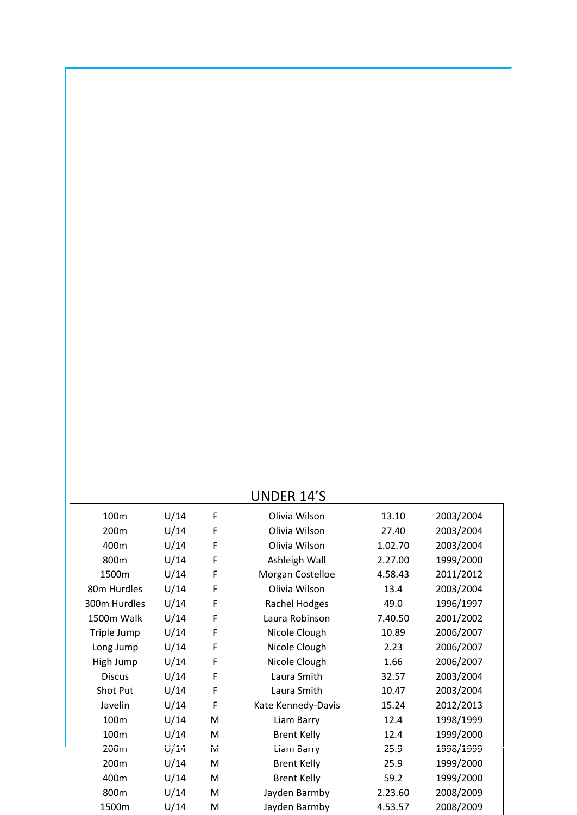#### UNDER 14'S

| 13.10<br>2003/2004                                   |
|------------------------------------------------------|
| 2003/2004<br>27.40                                   |
| 1.02.70<br>2003/2004                                 |
| 1999/2000<br>2.27.00                                 |
| 2011/2012<br>4.58.43                                 |
| 2003/2004                                            |
| 1996/1997                                            |
| 2001/2002<br>7.40.50                                 |
| 2006/2007<br>10.89                                   |
| 2006/2007                                            |
| 2006/2007                                            |
| 2003/2004<br>32.57                                   |
| 2003/2004<br>10.47                                   |
| 2012/2013<br>15.24                                   |
| 1998/1999                                            |
| 1999/2000                                            |
| <u>1998/1999</u>                                     |
| 1999/2000                                            |
| 1999/2000                                            |
| 2008/2009<br>2.23.60                                 |
| 2008/2009<br>4.53.57                                 |
| 2.23<br>1.66<br>12.4<br>12.4<br>25.9<br>25.9<br>59.2 |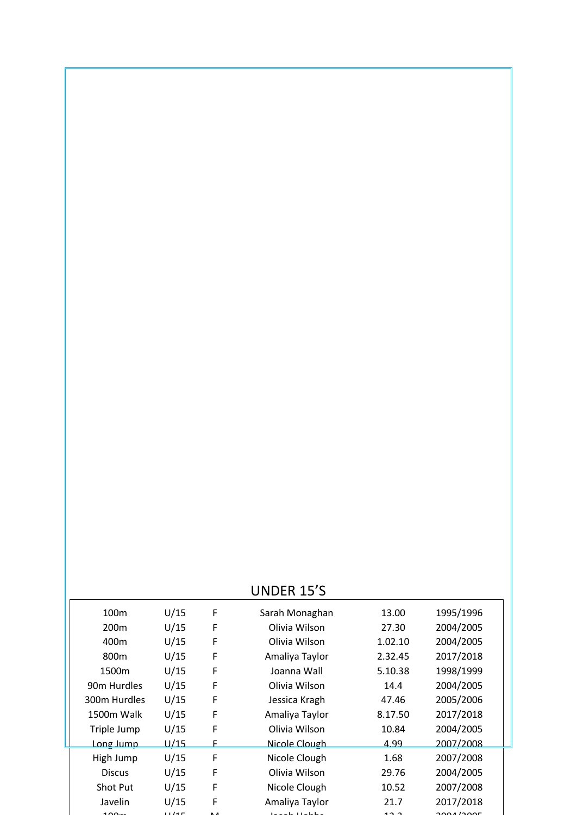### UNDER 15'S

|                         |             |   | ט נב ווועוט    |         |           |  |
|-------------------------|-------------|---|----------------|---------|-----------|--|
| 100m                    | U/15        | F | Sarah Monaghan | 13.00   | 1995/1996 |  |
| 200 <sub>m</sub>        | U/15        | F | Olivia Wilson  | 27.30   | 2004/2005 |  |
| 400m                    | U/15        | F | Olivia Wilson  | 1.02.10 | 2004/2005 |  |
| 800m                    | U/15        | F | Amaliya Taylor | 2.32.45 | 2017/2018 |  |
| 1500m                   | U/15        | F | Joanna Wall    | 5.10.38 | 1998/1999 |  |
| 90 <sub>m</sub> Hurdles | U/15        | F | Olivia Wilson  | 14.4    | 2004/2005 |  |
| 300m Hurdles            | U/15        | F | Jessica Kragh  | 47.46   | 2005/2006 |  |
| 1500m Walk              | U/15        | F | Amaliya Taylor | 8.17.50 | 2017/2018 |  |
| Triple Jump             | U/15        | F | Olivia Wilson  | 10.84   | 2004/2005 |  |
| <u>Long lumn</u>        | <u>U/15</u> |   | Nicole Clough  | 4.99    | 2007/2008 |  |
| High Jump               | U/15        | F | Nicole Clough  | 1.68    | 2007/2008 |  |
| <b>Discus</b>           | U/15        | F | Olivia Wilson  | 29.76   | 2004/2005 |  |
| <b>Shot Put</b>         | U/15        | F | Nicole Clough  | 10.52   | 2007/2008 |  |
| Javelin                 | U/15        | F | Amaliya Taylor | 21.7    | 2017/2018 |  |
| ممه                     | 1145        |   | $1 - 11 - 11$  | د د،    | 2001/2005 |  |